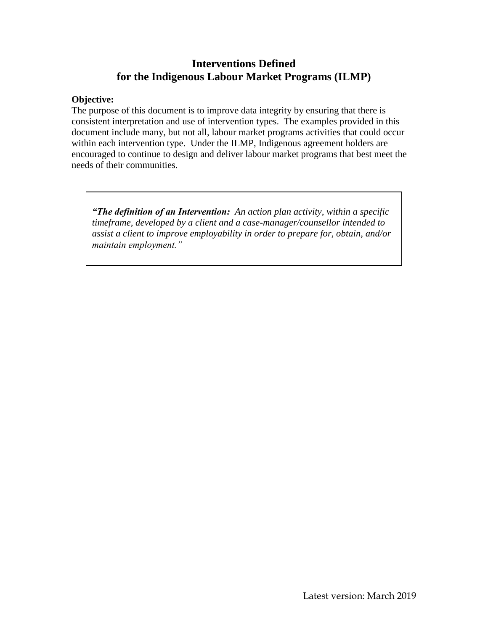## **Interventions Defined for the Indigenous Labour Market Programs (ILMP)**

## **Objective:**

The purpose of this document is to improve data integrity by ensuring that there is consistent interpretation and use of intervention types. The examples provided in this document include many, but not all, labour market programs activities that could occur within each intervention type. Under the ILMP, Indigenous agreement holders are encouraged to continue to design and deliver labour market programs that best meet the needs of their communities.

*"The definition of an Intervention: An action plan activity, within a specific timeframe, developed by a client and a case-manager/counsellor intended to assist a client to improve employability in order to prepare for, obtain, and/or maintain employment."*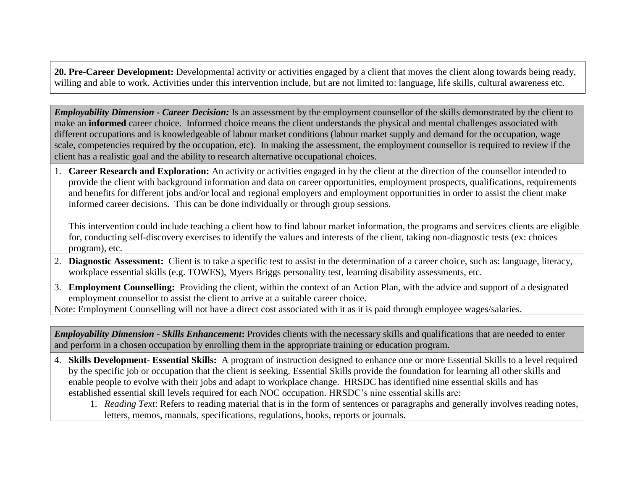**20. Pre-Career Development:** Developmental activity or activities engaged by a client that moves the client along towards being ready, willing and able to work. Activities under this intervention include, but are not limited to: language, life skills, cultural awareness etc.

*Employability Dimension - Career Decision:* Is an assessment by the employment counsellor of the skills demonstrated by the client to make an **informed** career choice. Informed choice means the client understands the physical and mental challenges associated with different occupations and is knowledgeable of labour market conditions (labour market supply and demand for the occupation, wage scale, competencies required by the occupation, etc). In making the assessment, the employment counsellor is required to review if the client has a realistic goal and the ability to research alternative occupational choices.

1. **Career Research and Exploration:** An activity or activities engaged in by the client at the direction of the counsellor intended to provide the client with background information and data on career opportunities, employment prospects, qualifications, requirements and benefits for different jobs and/or local and regional employers and employment opportunities in order to assist the client make informed career decisions. This can be done individually or through group sessions.

This intervention could include teaching a client how to find labour market information, the programs and services clients are eligible for, conducting self-discovery exercises to identify the values and interests of the client, taking non-diagnostic tests (ex: choices program), etc.

- 2. **Diagnostic Assessment:** Client is to take a specific test to assist in the determination of a career choice, such as: language, literacy, workplace essential skills (e.g. TOWES), Myers Briggs personality test, learning disability assessments, etc.
- 3. **Employment Counselling:** Providing the client, within the context of an Action Plan, with the advice and support of a designated employment counsellor to assist the client to arrive at a suitable career choice.

Note: Employment Counselling will not have a direct cost associated with it as it is paid through employee wages/salaries.

*Employability Dimension - Skills Enhancement***:** Provides clients with the necessary skills and qualifications that are needed to enter and perform in a chosen occupation by enrolling them in the appropriate training or education program.

- 4. **Skills Development- Essential Skills:** A program of instruction designed to enhance one or more Essential Skills to a level required by the specific job or occupation that the client is seeking. Essential Skills provide the foundation for learning all other skills and enable people to evolve with their jobs and adapt to workplace change. HRSDC has identified nine essential skills and has established essential skill levels required for each NOC occupation. HRSDC's nine essential skills are:
	- 1. *Reading Text*: Refers to reading material that is in the form of sentences or paragraphs and generally involves reading notes, letters, memos, manuals, specifications, regulations, books, reports or journals.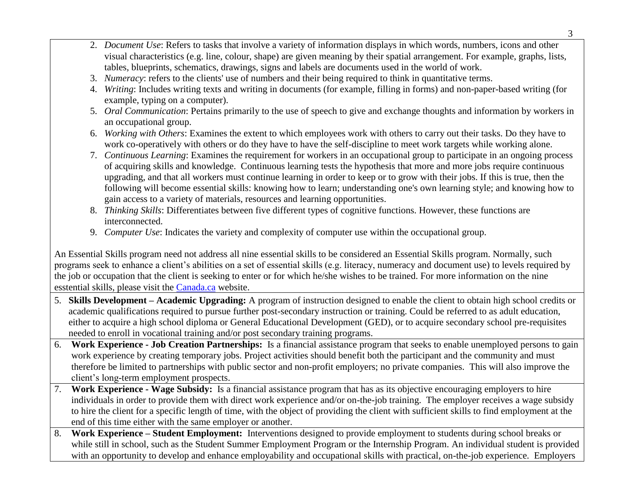- 2. *Document Use*: Refers to tasks that involve a variety of information displays in which words, numbers, icons and other visual characteristics (e.g. line, colour, shape) are given meaning by their spatial arrangement. For example, graphs, lists, tables, blueprints, schematics, drawings, signs and labels are documents used in the world of work.
- 3. *Numeracy*: refers to the clients' use of numbers and their being required to think in quantitative terms.
- 4. *Writing*: Includes writing texts and writing in documents (for example, filling in forms) and non-paper-based writing (for example, typing on a computer).
- 5. *Oral Communication*: Pertains primarily to the use of speech to give and exchange thoughts and information by workers in an occupational group.
- 6. *Working with Others*: Examines the extent to which employees work with others to carry out their tasks. Do they have to work co-operatively with others or do they have to have the self-discipline to meet work targets while working alone.
- 7. *Continuous Learning*: Examines the requirement for workers in an occupational group to participate in an ongoing process of acquiring skills and knowledge. Continuous learning tests the hypothesis that more and more jobs require continuous upgrading, and that all workers must continue learning in order to keep or to grow with their jobs. If this is true, then the following will become essential skills: knowing how to learn; understanding one's own learning style; and knowing how to gain access to a variety of materials, resources and learning opportunities.
- 8. *Thinking Skills*: Differentiates between five different types of cognitive functions. However, these functions are interconnected.
- 9. *Computer Use*: Indicates the variety and complexity of computer use within the occupational group.

An Essential Skills program need not address all nine essential skills to be considered an Essential Skills program. Normally, such programs seek to enhance a client's abilities on a set of essential skills (e.g. literacy, numeracy and document use) to levels required by the job or occupation that the client is seeking to enter or for which he/she wishes to be trained. For more information on the nine esstential skills, please visit the [Canada.ca](https://www.canada.ca/en/employment-social-development/programs/essential-skills.html) website.

- 5. **Skills Development – Academic Upgrading:** A program of instruction designed to enable the client to obtain high school credits or academic qualifications required to pursue further post-secondary instruction or training. Could be referred to as adult education, either to acquire a high school diploma or General Educational Development (GED), or to acquire secondary school pre-requisites needed to enroll in vocational training and/or post secondary training programs.
- 6. **Work Experience - Job Creation Partnerships:** Is a financial assistance program that seeks to enable unemployed persons to gain work experience by creating temporary jobs. Project activities should benefit both the participant and the community and must therefore be limited to partnerships with public sector and non-profit employers; no private companies. This will also improve the client's long-term employment prospects.
- 7. **Work Experience - Wage Subsidy:** Is a financial assistance program that has as its objective encouraging employers to hire individuals in order to provide them with direct work experience and/or on-the-job training. The employer receives a wage subsidy to hire the client for a specific length of time, with the object of providing the client with sufficient skills to find employment at the end of this time either with the same employer or another.
- 8. **Work Experience – Student Employment:** Interventions designed to provide employment to students during school breaks or while still in school, such as the Student Summer Employment Program or the Internship Program. An individual student is provided with an opportunity to develop and enhance employability and occupational skills with practical, on-the-job experience. Employers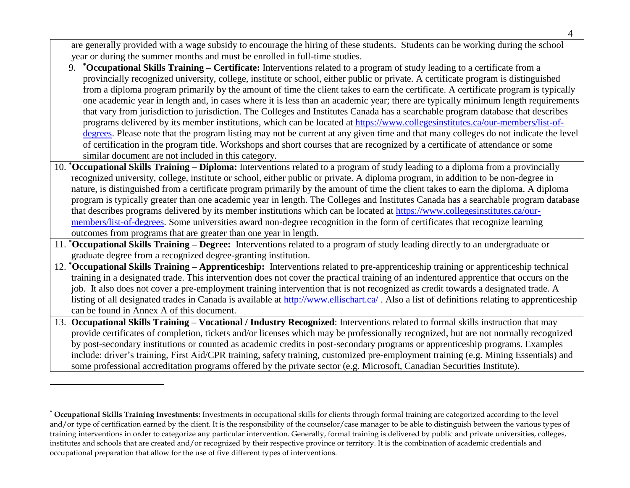are generally provided with a wage subsidy to encourage the hiring of these students. Students can be working during the school year or during the summer months and must be enrolled in full-time studies. 9. **\*Occupational Skills Training – Certificate:** Interventions related to a program of study leading to a certificate from a provincially recognized university, college, institute or school, either public or private. A certificate program is distinguished from a diploma program primarily by the amount of time the client takes to earn the certificate. A certificate program is typically one academic year in length and, in cases where it is less than an academic year; there are typically minimum length requirements that vary from jurisdiction to jurisdiction. The Colleges and Institutes Canada has a searchable program database that describes programs delivered by its member institutions, which can be located at [https://www.collegesinstitutes.ca/our-members/list-of](https://www.collegesinstitutes.ca/our-members/list-of-degrees)[degrees.](https://www.collegesinstitutes.ca/our-members/list-of-degrees) Please note that the program listing may not be current at any given time and that many colleges do not indicate the level of certification in the program title. Workshops and short courses that are recognized by a certificate of attendance or some similar document are not included in this category. 10. **\*Occupational Skills Training – Diploma:** Interventions related to a program of study leading to a diploma from a provincially recognized university, college, institute or school, either public or private. A diploma program, in addition to be non-degree in nature, is distinguished from a certificate program primarily by the amount of time the client takes to earn the diploma. A diploma program is typically greater than one academic year in length. The Colleges and Institutes Canada has a searchable program database that describes programs delivered by its member institutions which can be located at [https://www.collegesinstitutes.ca/our](https://www.collegesinstitutes.ca/our-members/list-of-degrees)[members/list-of-degrees.](https://www.collegesinstitutes.ca/our-members/list-of-degrees) Some universities award non-degree recognition in the form of certificates that recognize learning outcomes from programs that are greater than one year in length. 11. **\*Occupational Skills Training – Degree:** Interventions related to a program of study leading directly to an undergraduate or graduate degree from a recognized degree-granting institution. 12. **\*Occupational Skills Training – Apprenticeship:** Interventions related to pre-apprenticeship training or apprenticeship technical training in a designated trade. This intervention does not cover the practical training of an indentured apprentice that occurs on the job. It also does not cover a pre-employment training intervention that is not recognized as credit towards a designated trade. A listing of all designated trades in Canada is available at<http://www.ellischart.ca/> . Also a list of definitions relating to apprenticeship can be found in Annex A of this document. 13. **Occupational Skills Training – Vocational / Industry Recognized**: Interventions related to formal skills instruction that may provide certificates of completion, tickets and/or licenses which may be professionally recognized, but are not normally recognized by post-secondary institutions or counted as academic credits in post-secondary programs or apprenticeship programs. Examples include: driver's training, First Aid/CPR training, safety training, customized pre-employment training (e.g. Mining Essentials) and some professional accreditation programs offered by the private sector (e.g. Microsoft, Canadian Securities Institute). -

<sup>\*</sup> **Occupational Skills Training Investments:** Investments in occupational skills for clients through formal training are categorized according to the level and/or type of certification earned by the client. It is the responsibility of the counselor/case manager to be able to distinguish between the various types of training interventions in order to categorize any particular intervention. Generally, formal training is delivered by public and private universities, colleges, institutes and schools that are created and/or recognized by their respective province or territory. It is the combination of academic credentials and occupational preparation that allow for the use of five different types of interventions.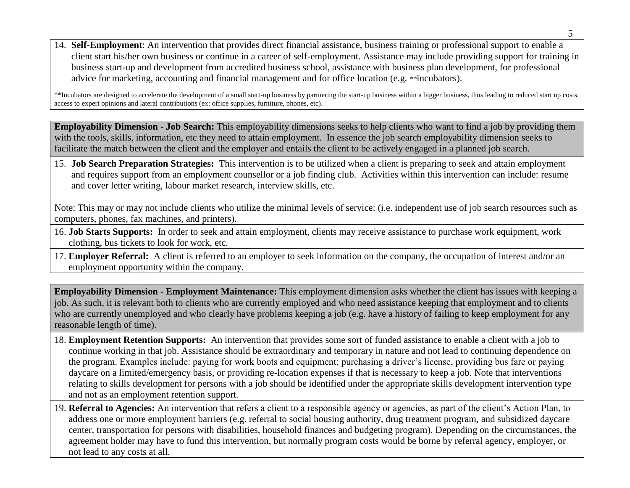14. **Self-Employment**: An intervention that provides direct financial assistance, business training or professional support to enable a client start his/her own business or continue in a career of self-employment. Assistance may include providing support for training in business start-up and development from accredited business school, assistance with business plan development, for professional advice for marketing, accounting and financial management and for office location (e.g. \*\*incubators).

\*\*Incubators are designed to accelerate the development of a small start-up business by partnering the start-up business within a bigger business, thus leading to reduced start up costs, access to expert opinions and lateral contributions (ex: office supplies, furniture, phones, etc).

**Employability Dimension - Job Search:** This employability dimensions seeks to help clients who want to find a job by providing them with the tools, skills, information, etc they need to attain employment. In essence the job search employability dimension seeks to facilitate the match between the client and the employer and entails the client to be actively engaged in a planned job search.

15. **Job Search Preparation Strategies:** This intervention is to be utilized when a client is preparing to seek and attain employment and requires support from an employment counsellor or a job finding club. Activities within this intervention can include: resume and cover letter writing, labour market research, interview skills, etc.

Note: This may or may not include clients who utilize the minimal levels of service: (i.e. independent use of job search resources such as computers, phones, fax machines, and printers).

- 16. **Job Starts Supports:** In order to seek and attain employment, clients may receive assistance to purchase work equipment, work clothing, bus tickets to look for work, etc.
- 17. **Employer Referral:** A client is referred to an employer to seek information on the company, the occupation of interest and/or an employment opportunity within the company.

**Employability Dimension - Employment Maintenance:** This employment dimension asks whether the client has issues with keeping a job. As such, it is relevant both to clients who are currently employed and who need assistance keeping that employment and to clients who are currently unemployed and who clearly have problems keeping a job (e.g. have a history of failing to keep employment for any reasonable length of time).

- 18. **Employment Retention Supports:** An intervention that provides some sort of funded assistance to enable a client with a job to continue working in that job. Assistance should be extraordinary and temporary in nature and not lead to continuing dependence on the program. Examples include: paying for work boots and equipment; purchasing a driver's license, providing bus fare or paying daycare on a limited/emergency basis, or providing re-location expenses if that is necessary to keep a job. Note that interventions relating to skills development for persons with a job should be identified under the appropriate skills development intervention type and not as an employment retention support.
- 19. **Referral to Agencies:** An intervention that refers a client to a responsible agency or agencies, as part of the client's Action Plan, to address one or more employment barriers (e.g. referral to social housing authority, drug treatment program, and subsidized daycare center, transportation for persons with disabilities, household finances and budgeting program). Depending on the circumstances, the agreement holder may have to fund this intervention, but normally program costs would be borne by referral agency, employer, or not lead to any costs at all.